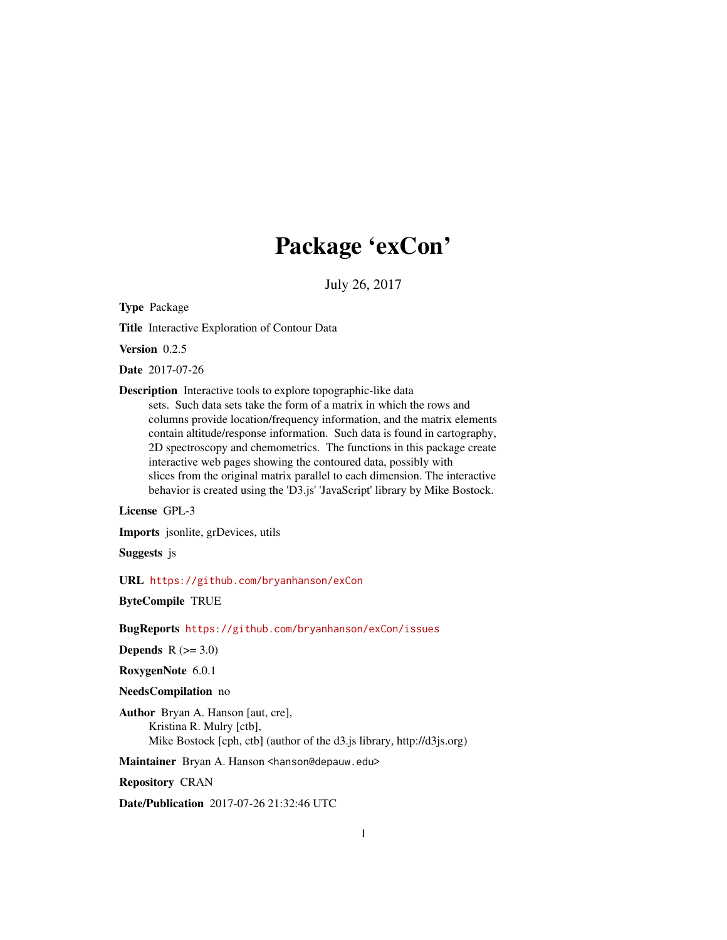## Package 'exCon'

July 26, 2017

<span id="page-0-0"></span>Type Package

Title Interactive Exploration of Contour Data

Version 0.2.5

Date 2017-07-26

Description Interactive tools to explore topographic-like data

sets. Such data sets take the form of a matrix in which the rows and columns provide location/frequency information, and the matrix elements contain altitude/response information. Such data is found in cartography, 2D spectroscopy and chemometrics. The functions in this package create interactive web pages showing the contoured data, possibly with slices from the original matrix parallel to each dimension. The interactive behavior is created using the 'D3.js' 'JavaScript' library by Mike Bostock.

License GPL-3

Imports jsonlite, grDevices, utils

Suggests js

URL <https://github.com/bryanhanson/exCon>

ByteCompile TRUE

BugReports <https://github.com/bryanhanson/exCon/issues>

Depends  $R$  ( $>= 3.0$ )

RoxygenNote 6.0.1

#### NeedsCompilation no

Author Bryan A. Hanson [aut, cre], Kristina R. Mulry [ctb], Mike Bostock [cph, ctb] (author of the d3.js library, http://d3js.org)

Maintainer Bryan A. Hanson <hanson@depauw.edu>

Repository CRAN

Date/Publication 2017-07-26 21:32:46 UTC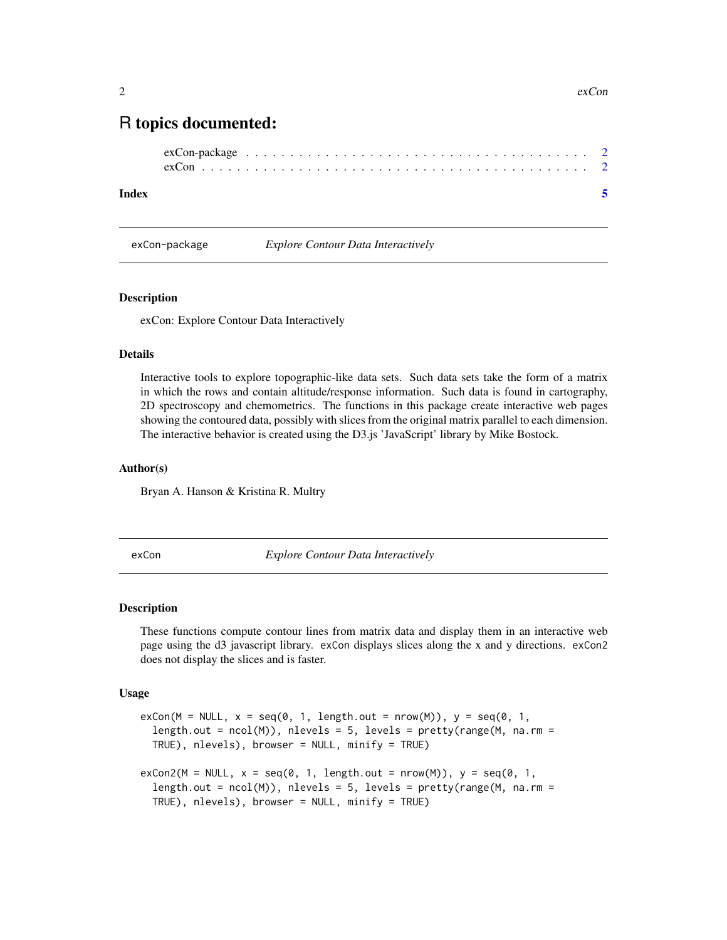### <span id="page-1-0"></span>R topics documented:

| $exCon\text{-}package \dots \dots \dots \dots \dots \dots \dots \dots \dots \dots \dots \dots \dots \dots \dots \dots \dots$ |  |  |  |  |  |
|------------------------------------------------------------------------------------------------------------------------------|--|--|--|--|--|
|                                                                                                                              |  |  |  |  |  |

#### **Index** [5](#page-4-0). The second state of the second state of the second state of the second state of the second state of the second state of the second state of the second state of the second state of the second state of the second

exCon-package *Explore Contour Data Interactively*

#### Description

exCon: Explore Contour Data Interactively

#### Details

Interactive tools to explore topographic-like data sets. Such data sets take the form of a matrix in which the rows and contain altitude/response information. Such data is found in cartography, 2D spectroscopy and chemometrics. The functions in this package create interactive web pages showing the contoured data, possibly with slices from the original matrix parallel to each dimension. The interactive behavior is created using the D3.js 'JavaScript' library by Mike Bostock.

#### Author(s)

Bryan A. Hanson & Kristina R. Multry

exCon *Explore Contour Data Interactively*

#### Description

These functions compute contour lines from matrix data and display them in an interactive web page using the d3 javascript library. exCon displays slices along the x and y directions. exCon2 does not display the slices and is faster.

#### Usage

```
exCon(M = NULL, x = seq(0, 1, length.out = nrow(M)), y = seq(0, 1,length.out = ncol(M)), nlevels = 5, levels = prety(range(M, na.rm =TRUE), nlevels), browser = NULL, minify = TRUE)
exCon2(M = NULL, x = seq(0, 1, length.out = nrow(M)), y = seq(0, 1,length.out = ncol(M), nlevels = 5, levels = pretry(range(M, na.rm =TRUE), nlevels), browser = NULL, minify = TRUE)
```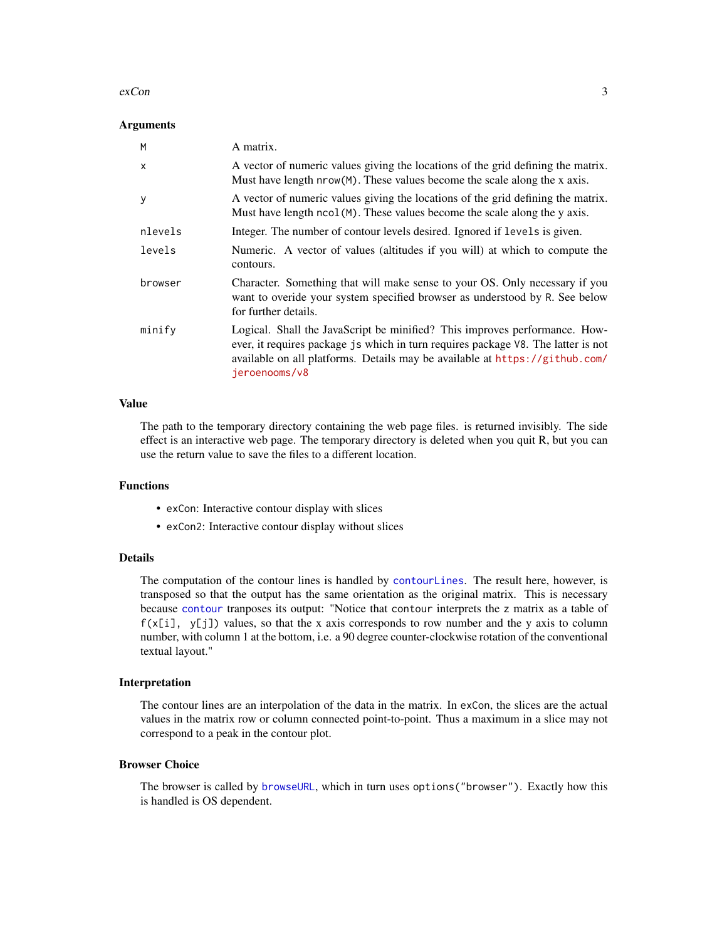#### <span id="page-2-0"></span> $\alpha$  exCon  $\beta$

#### **Arguments**

| M            | A matrix.                                                                                                                                                                                                                                                       |
|--------------|-----------------------------------------------------------------------------------------------------------------------------------------------------------------------------------------------------------------------------------------------------------------|
| $\mathsf{x}$ | A vector of numeric values giving the locations of the grid defining the matrix.<br>Must have length $nrow(M)$ . These values become the scale along the x axis.                                                                                                |
| y            | A vector of numeric values giving the locations of the grid defining the matrix.<br>Must have length ncol (M). These values become the scale along the y axis.                                                                                                  |
| nlevels      | Integer. The number of contour levels desired. Ignored if levels is given.                                                                                                                                                                                      |
| levels       | Numeric. A vector of values (altitudes if you will) at which to compute the<br>contours.                                                                                                                                                                        |
| browser      | Character. Something that will make sense to your OS. Only necessary if you<br>want to overide your system specified browser as understood by R. See below<br>for further details.                                                                              |
| minify       | Logical. Shall the JavaScript be minified? This improves performance. How-<br>ever, it requires package js which in turn requires package V8. The latter is not<br>available on all platforms. Details may be available at https://github.com/<br>jeroenooms/v8 |

#### Value

The path to the temporary directory containing the web page files. is returned invisibly. The side effect is an interactive web page. The temporary directory is deleted when you quit R, but you can use the return value to save the files to a different location.

#### Functions

- exCon: Interactive contour display with slices
- exCon2: Interactive contour display without slices

#### Details

The computation of the contour lines is handled by [contourLines](#page-0-0). The result here, however, is transposed so that the output has the same orientation as the original matrix. This is necessary because [contour](#page-0-0) tranposes its output: "Notice that contour interprets the z matrix as a table of  $f(x[i], y[j])$  values, so that the x axis corresponds to row number and the y axis to column number, with column 1 at the bottom, i.e. a 90 degree counter-clockwise rotation of the conventional textual layout."

#### Interpretation

The contour lines are an interpolation of the data in the matrix. In exCon, the slices are the actual values in the matrix row or column connected point-to-point. Thus a maximum in a slice may not correspond to a peak in the contour plot.

#### Browser Choice

The browser is called by [browseURL](#page-0-0), which in turn uses options("browser"). Exactly how this is handled is OS dependent.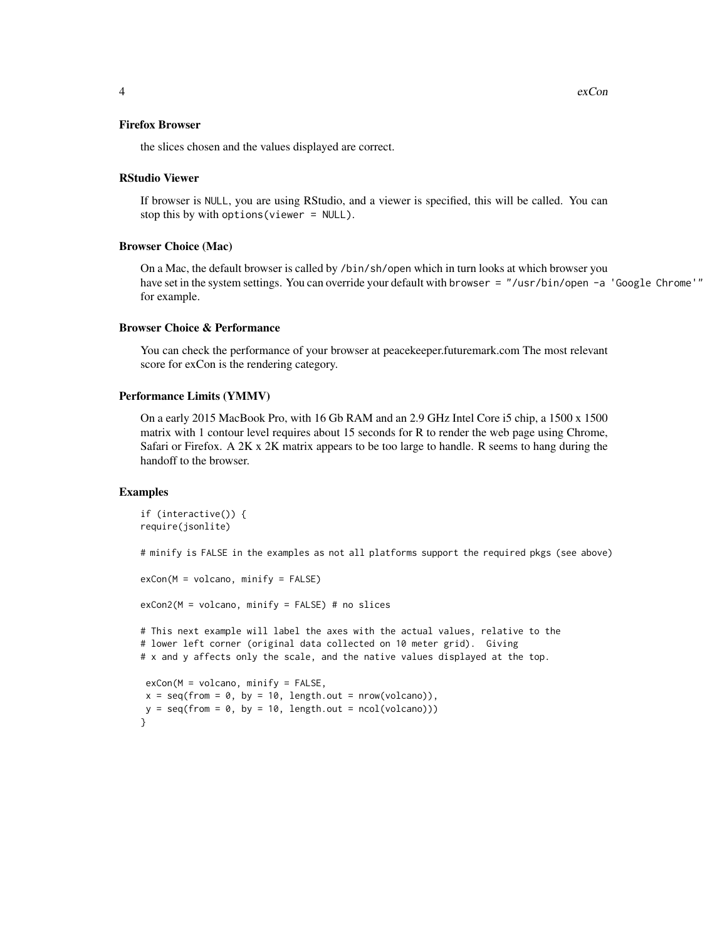4 exCon

#### Firefox Browser

the slices chosen and the values displayed are correct.

#### RStudio Viewer

If browser is NULL, you are using RStudio, and a viewer is specified, this will be called. You can stop this by with options(viewer = NULL).

#### Browser Choice (Mac)

On a Mac, the default browser is called by /bin/sh/open which in turn looks at which browser you have set in the system settings. You can override your default with browser = "/usr/bin/open -a 'Google Chrome'" for example.

#### Browser Choice & Performance

You can check the performance of your browser at peacekeeper.futuremark.com The most relevant score for exCon is the rendering category.

#### Performance Limits (YMMV)

On a early 2015 MacBook Pro, with 16 Gb RAM and an 2.9 GHz Intel Core i5 chip, a 1500 x 1500 matrix with 1 contour level requires about 15 seconds for R to render the web page using Chrome, Safari or Firefox. A 2K x 2K matrix appears to be too large to handle. R seems to hang during the handoff to the browser.

#### Examples

```
if (interactive()) {
require(jsonlite)
```
# minify is FALSE in the examples as not all platforms support the required pkgs (see above)

```
exCon(M = volcano, minify = FALSE)
exCon2(M = volcano, minify = FALSE) # no slices
# This next example will label the axes with the actual values, relative to the
# lower left corner (original data collected on 10 meter grid). Giving
# x and y affects only the scale, and the native values displayed at the top.
exCon(M = volcano, minify = FALSE,x = seq(from = 0, by = 10, length.out = nrow(volcano)),y = seq(from = 0, by = 10, length.out = ncol(volcano)))}
```